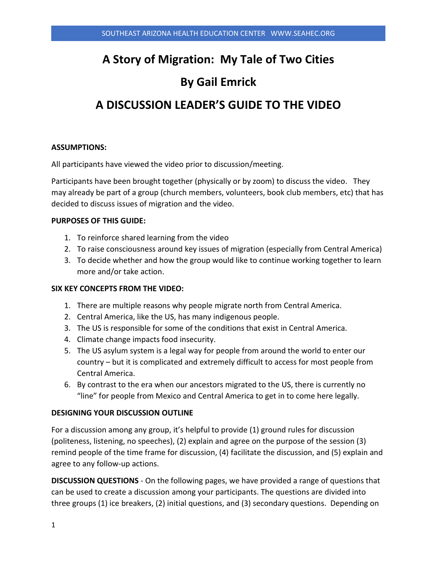# **A Story of Migration: My Tale of Two Cities**

# **By Gail Emrick**

# **A DISCUSSION LEADER'S GUIDE TO THE VIDEO**

### **ASSUMPTIONS:**

All participants have viewed the video prior to discussion/meeting.

Participants have been brought together (physically or by zoom) to discuss the video. They may already be part of a group (church members, volunteers, book club members, etc) that has decided to discuss issues of migration and the video.

### **PURPOSES OF THIS GUIDE:**

- 1. To reinforce shared learning from the video
- 2. To raise consciousness around key issues of migration (especially from Central America)
- 3. To decide whether and how the group would like to continue working together to learn more and/or take action.

## **SIX KEY CONCEPTS FROM THE VIDEO:**

- 1. There are multiple reasons why people migrate north from Central America.
- 2. Central America, like the US, has many indigenous people.
- 3. The US is responsible for some of the conditions that exist in Central America.
- 4. Climate change impacts food insecurity.
- 5. The US asylum system is a legal way for people from around the world to enter our country – but it is complicated and extremely difficult to access for most people from Central America.
- 6. By contrast to the era when our ancestors migrated to the US, there is currently no "line" for people from Mexico and Central America to get in to come here legally.

#### **DESIGNING YOUR DISCUSSION OUTLINE**

For a discussion among any group, it's helpful to provide (1) ground rules for discussion (politeness, listening, no speeches), (2) explain and agree on the purpose of the session (3) remind people of the time frame for discussion, (4) facilitate the discussion, and (5) explain and agree to any follow-up actions.

**DISCUSSION QUESTIONS** - On the following pages, we have provided a range of questions that can be used to create a discussion among your participants. The questions are divided into three groups (1) ice breakers, (2) initial questions, and (3) secondary questions. Depending on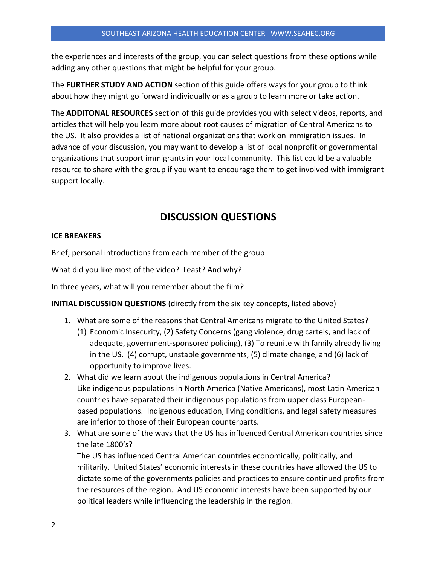the experiences and interests of the group, you can select questions from these options while adding any other questions that might be helpful for your group.

The **FURTHER STUDY AND ACTION** section of this guide offers ways for your group to think about how they might go forward individually or as a group to learn more or take action.

The **ADDITONAL RESOURCES** section of this guide provides you with select videos, reports, and articles that will help you learn more about root causes of migration of Central Americans to the US. It also provides a list of national organizations that work on immigration issues. In advance of your discussion, you may want to develop a list of local nonprofit or governmental organizations that support immigrants in your local community. This list could be a valuable resource to share with the group if you want to encourage them to get involved with immigrant support locally.

# **DISCUSSION QUESTIONS**

#### **ICE BREAKERS**

Brief, personal introductions from each member of the group

What did you like most of the video? Least? And why?

In three years, what will you remember about the film?

**INITIAL DISCUSSION QUESTIONS** (directly from the six key concepts, listed above)

- 1. What are some of the reasons that Central Americans migrate to the United States?
	- (1) Economic Insecurity, (2) Safety Concerns (gang violence, drug cartels, and lack of adequate, government-sponsored policing), (3) To reunite with family already living in the US. (4) corrupt, unstable governments, (5) climate change, and (6) lack of opportunity to improve lives.
- 2. What did we learn about the indigenous populations in Central America? Like indigenous populations in North America (Native Americans), most Latin American countries have separated their indigenous populations from upper class Europeanbased populations. Indigenous education, living conditions, and legal safety measures are inferior to those of their European counterparts.
- 3. What are some of the ways that the US has influenced Central American countries since the late 1800's?

The US has influenced Central American countries economically, politically, and militarily. United States' economic interests in these countries have allowed the US to dictate some of the governments policies and practices to ensure continued profits from the resources of the region. And US economic interests have been supported by our political leaders while influencing the leadership in the region.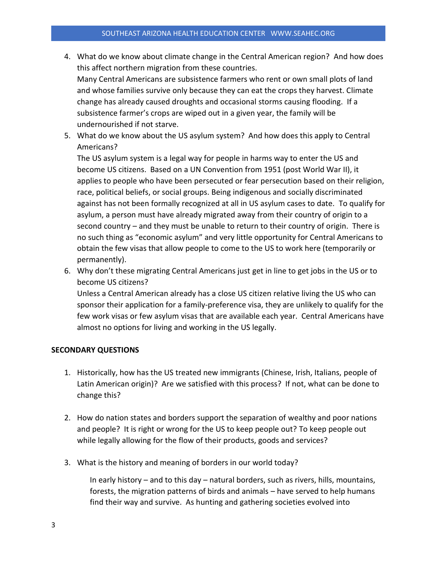- 4. What do we know about climate change in the Central American region? And how does this affect northern migration from these countries. Many Central Americans are subsistence farmers who rent or own small plots of land and whose families survive only because they can eat the crops they harvest. Climate change has already caused droughts and occasional storms causing flooding. If a subsistence farmer's crops are wiped out in a given year, the family will be undernourished if not starve.
- 5. What do we know about the US asylum system? And how does this apply to Central Americans?

The US asylum system is a legal way for people in harms way to enter the US and become US citizens. Based on a UN Convention from 1951 (post World War II), it applies to people who have been persecuted or fear persecution based on their religion, race, political beliefs, or social groups. Being indigenous and socially discriminated against has not been formally recognized at all in US asylum cases to date. To qualify for asylum, a person must have already migrated away from their country of origin to a second country – and they must be unable to return to their country of origin. There is no such thing as "economic asylum" and very little opportunity for Central Americans to obtain the few visas that allow people to come to the US to work here (temporarily or permanently).

6. Why don't these migrating Central Americans just get in line to get jobs in the US or to become US citizens?

Unless a Central American already has a close US citizen relative living the US who can sponsor their application for a family-preference visa, they are unlikely to qualify for the few work visas or few asylum visas that are available each year. Central Americans have almost no options for living and working in the US legally.

## **SECONDARY QUESTIONS**

- 1. Historically, how has the US treated new immigrants (Chinese, Irish, Italians, people of Latin American origin)? Are we satisfied with this process? If not, what can be done to change this?
- 2. How do nation states and borders support the separation of wealthy and poor nations and people? It is right or wrong for the US to keep people out? To keep people out while legally allowing for the flow of their products, goods and services?
- 3. What is the history and meaning of borders in our world today?

In early history – and to this day – natural borders, such as rivers, hills, mountains, forests, the migration patterns of birds and animals – have served to help humans find their way and survive. As hunting and gathering societies evolved into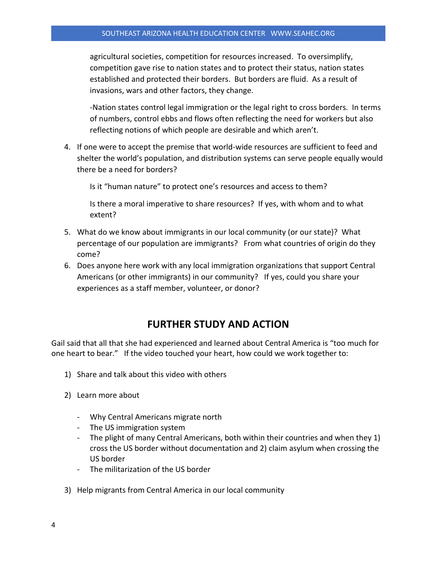agricultural societies, competition for resources increased. To oversimplify, competition gave rise to nation states and to protect their status, nation states established and protected their borders. But borders are fluid. As a result of invasions, wars and other factors, they change.

-Nation states control legal immigration or the legal right to cross borders. In terms of numbers, control ebbs and flows often reflecting the need for workers but also reflecting notions of which people are desirable and which aren't.

4. If one were to accept the premise that world-wide resources are sufficient to feed and shelter the world's population, and distribution systems can serve people equally would there be a need for borders?

Is it "human nature" to protect one's resources and access to them?

Is there a moral imperative to share resources? If yes, with whom and to what extent?

- 5. What do we know about immigrants in our local community (or our state)? What percentage of our population are immigrants? From what countries of origin do they come?
- 6. Does anyone here work with any local immigration organizations that support Central Americans (or other immigrants) in our community? If yes, could you share your experiences as a staff member, volunteer, or donor?

## **FURTHER STUDY AND ACTION**

Gail said that all that she had experienced and learned about Central America is "too much for one heart to bear." If the video touched your heart, how could we work together to:

- 1) Share and talk about this video with others
- 2) Learn more about
	- Why Central Americans migrate north
	- The US immigration system
	- The plight of many Central Americans, both within their countries and when they 1) cross the US border without documentation and 2) claim asylum when crossing the US border
	- The militarization of the US border
- 3) Help migrants from Central America in our local community